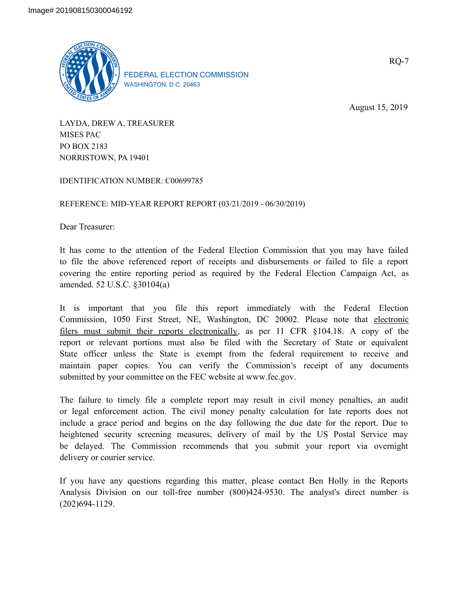

FEDERAL ELECTION COMMISSION WASHINGTON, D.C. 20463

August 15, 2019

LAYDA, DREW A, TREASURER MISES PAC PO BOX 2183 NORRISTOWN, PA 19401

IDENTIFICATION NUMBER: C00699785

REFERENCE: MID-YEAR REPORT REPORT (03/21/2019 - 06/30/2019)

Dear Treasurer:

It has come to the attention of the Federal Election Commission that you may have failed to file the above referenced report of receipts and disbursements or failed to file a report covering the entire reporting period as required by the Federal Election Campaign Act, as amended. 52 U.S.C. §30104(a)

It is important that you file this report immediately with the Federal Election Commission, 1050 First Street, NE, Washington, DC 20002. Please note that electronic filers must submit their reports electronically, as per 11 CFR §104.18. A copy of the report or relevant portions must also be filed with the Secretary of State or equivalent State officer unless the State is exempt from the federal requirement to receive and maintain paper copies. You can verify the Commission's receipt of any documents submitted by your committee on the FEC website at www.fec.gov.

The failure to timely file a complete report may result in civil money penalties, an audit or legal enforcement action. The civil money penalty calculation for late reports does not include a grace period and begins on the day following the due date for the report. Due to heightened security screening measures, delivery of mail by the US Postal Service may be delayed. The Commission recommends that you submit your report via overnight delivery or courier service.

If you have any questions regarding this matter, please contact Ben Holly in the Reports Analysis Division on our toll-free number (800)424-9530. The analyst's direct number is (202)694-1129.

RQ-7